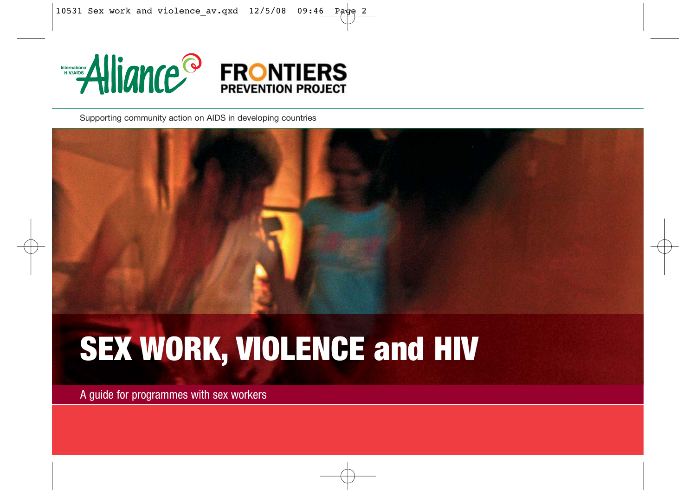

Supporting community action on AIDS in developing countries



## **SEX WORK, VIOLENCE and HIV**

A guide for programmes with sex workers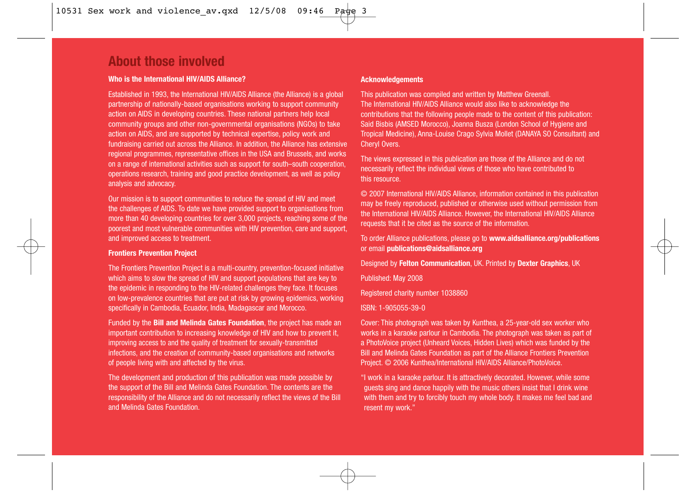## **About those involved**

#### **Who is the International HIV/AIDS Alliance?**

Established in 1993, the International HIV/AIDS Alliance (the Alliance) is a global partnership of nationally-based organisations working to support community action on AIDS in developing countries. These national partners help local community groups and other non-governmental organisations (NGOs) to take action on AIDS, and are supported by technical expertise, policy work and fundraising carried out across the Alliance. In addition, the Alliance has extensive regional programmes, representative offices in the USA and Brussels, and works on a range of international activities such as support for south–south cooperation, operations research, training and good practice development, as well as policy analysis and advocacy.

Our mission is to support communities to reduce the spread of HIV and meet the challenges of AIDS. To date we have provided support to organisations from more than 40 developing countries for over 3,000 projects, reaching some of the poorest and most vulnerable communities with HIV prevention, care and support, and improved access to treatment.

#### **Frontiers Prevention Project**

The Frontiers Prevention Project is a multi-country, prevention-focused initiative which aims to slow the spread of HIV and support populations that are key to the epidemic in responding to the HIV-related challenges they face. It focuses on low-prevalence countries that are put at risk by growing epidemics, working specifically in Cambodia, Ecuador, India, Madagascar and Morocco.

Funded by the **Bill and Melinda Gates Foundation**, the project has made an important contribution to increasing knowledge of HIV and how to prevent it, improving access to and the quality of treatment for sexually-transmitted infections, and the creation of community-based organisations and networks of people living with and affected by the virus.

The development and production of this publication was made possible by the support of the Bill and Melinda Gates Foundation. The contents are the responsibility of the Alliance and do not necessarily reflect the views of the Bill and Melinda Gates Foundation.

#### **Acknowledgements**

This publication was compiled and written by Matthew Greenall. The International HIV/AIDS Alliance would also like to acknowledge the contributions that the following people made to the content of this publication: Said Bisbis (AMSED Morocco), Joanna Busza (London School of Hygiene and Tropical Medicine), Anna-Louise Crago Sylvia Mollet (DANAYA SO Consultant) and Cheryl Overs.

The views expressed in this publication are those of the Alliance and do not necessarily reflect the individual views of those who have contributed to this resource.

© 2007 International HIV/AIDS Alliance, information contained in this publication may be freely reproduced, published or otherwise used without permission from the International HIV/AIDS Alliance. However, the International HIV/AIDS Alliance requests that it be cited as the source of the information.

To order Alliance publications, please go to **www.aidsalliance.org/publications** or email **publications@aidsalliance.org**

Designed by **Felton Communication**, UK. Printed by **Dexter Graphics**, UK

Published: May 2008

Registered charity number 1038860

ISBN: 1-905055-39-0

Cover: This photograph was taken by Kunthea, a 25-year-old sex worker who works in a karaoke parlour in Cambodia. The photograph was taken as part of a PhotoVoice project (Unheard Voices, Hidden Lives) which was funded by the Bill and Melinda Gates Foundation as part of the Alliance Frontiers Prevention Project. © 2006 Kunthea/International HIV/AIDS Alliance/PhotoVoice.

"I work in a karaoke parlour. It is attractively decorated. However, while some guests sing and dance happily with the music others insist that I drink wine with them and try to forcibly touch my whole body. It makes me feel bad and resent my work."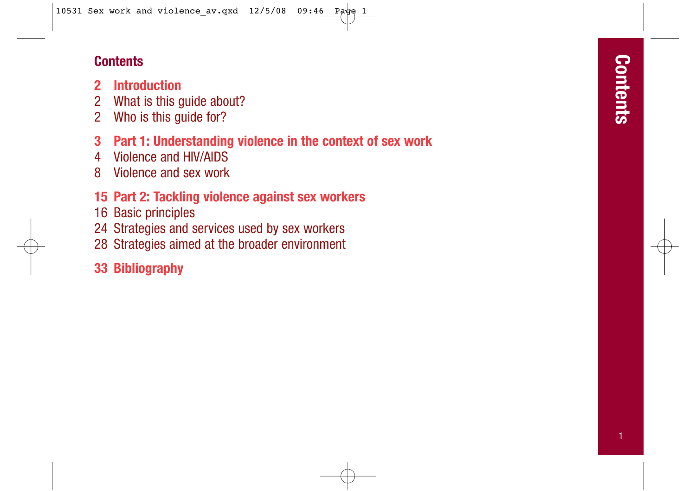## **Contents**

- **2 Introduction**
- 2 What is this guide about?
- 2 Who is this guide for?
- **3 Part 1: Understanding violence in the context of sex work**
- 4 Violence and HIV/AIDS
- 8 Violence and sex work
- **15 Part 2: Tackling violence against sex workers**
- 16 Basic principles
- 24 Strategies and services used by sex workers
- 28 Strategies aimed at the broader environment
- **33 Bibliography**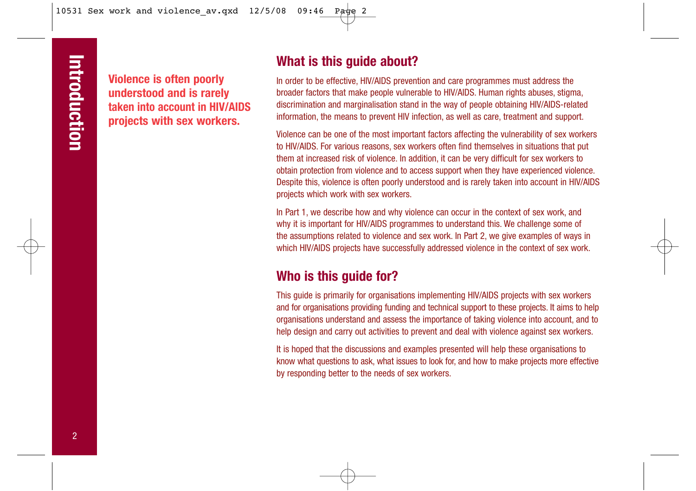**Violence is often poorly understood and is rarely taken into account in HIV/AIDS projects with sex workers.**

## **What is this guide about?**

In order to be effective, HIV/AIDS prevention and care programmes must address the broader factors that make people vulnerable to HIV/AIDS. Human rights abuses, stigma, discrimination and marginalisation stand in the way of people obtaining HIV/AIDS-related information, the means to prevent HIV infection, as well as care, treatment and support.

Violence can be one of the most important factors affecting the vulnerability of sex workers to HIV/AIDS. For various reasons, sex workers often find themselves in situations that put them at increased risk of violence. In addition, it can be very difficult for sex workers to obtain protection from violence and to access support when they have experienced violence. Despite this, violence is often poorly understood and is rarely taken into account in HIV/AIDS projects which work with sex workers.

In Part 1, we describe how and why violence can occur in the context of sex work, and why it is important for HIV/AIDS programmes to understand this. We challenge some of the assumptions related to violence and sex work. In Part 2, we give examples of ways in which HIV/AIDS projects have successfully addressed violence in the context of sex work.

## **Who is this guide for?**

This guide is primarily for organisations implementing HIV/AIDS projects with sex workers and for organisations providing funding and technical support to these projects. It aims to help organisations understand and assess the importance of taking violence into account, and to help design and carry out activities to prevent and deal with violence against sex workers.

It is hoped that the discussions and examples presented will help these organisations to know what questions to ask, what issues to look for, and how to make projects more effective by responding better to the needs of sex workers.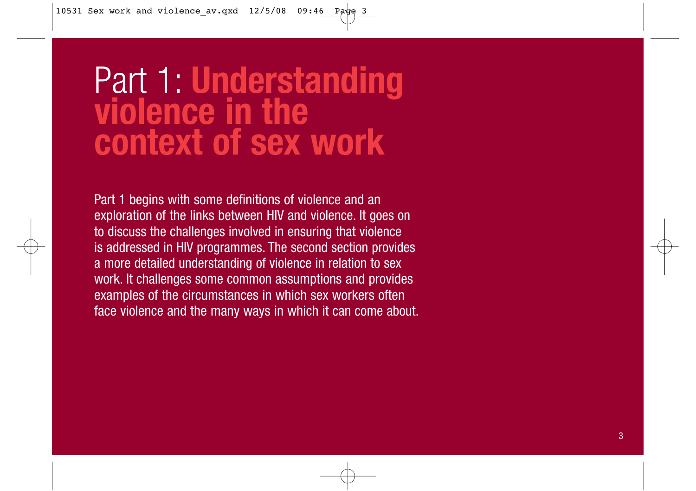# Part 1: **Understanding violence in the context of sex work**

Part 1 begins with some definitions of violence and an exploration of the links between HIV and violence. It goes on to discuss the challenges involved in ensuring that violence is addressed in HIV programmes. The second section provides a more detailed understanding of violence in relation to sex work. It challenges some common assumptions and provides examples of the circumstances in which sex workers often face violence and the many ways in which it can come about.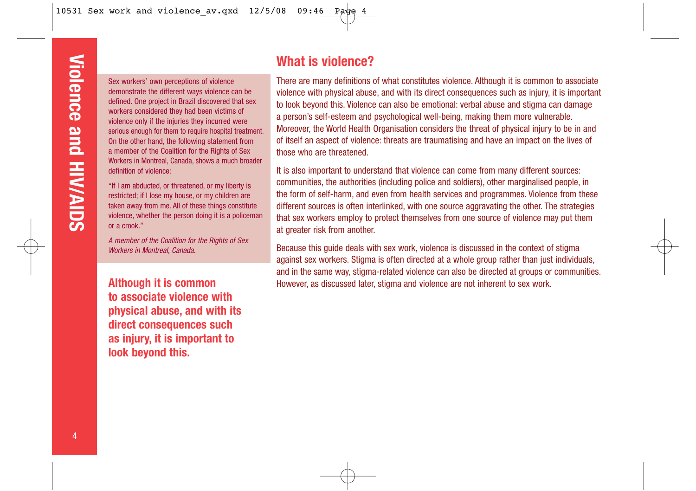Sex workers' own perceptions of violence demonstrate the different ways violence can be defined. One project in Brazil discovered that sex workers considered they had been victims of violence only if the injuries they incurred were serious enough for them to require hospital treatment. On the other hand, the following statement from a member of the Coalition for the Rights of Sex Workers in Montreal, Canada, shows a much broader definition of violence:

"If I am abducted, or threatened, or my liberty is restricted; if I lose my house, or my children are taken away from me. All of these things constitute violence, whether the person doing it is a policeman or a crook."

A member of the Coalition for the Rights of Sex Workers in Montreal, Canada.

**Although it is common to associate violence with physical abuse, and with its direct consequences such as injury, it is important to look beyond this.**

## **What is violence?**

There are many definitions of what constitutes violence. Although it is common to associate violence with physical abuse, and with its direct consequences such as injury, it is important to look beyond this. Violence can also be emotional: verbal abuse and stigma can damage a person's self-esteem and psychological well-being, making them more vulnerable. Moreover, the World Health Organisation considers the threat of physical injury to be in and of itself an aspect of violence: threats are traumatising and have an impact on the lives of those who are threatened.

It is also important to understand that violence can come from many different sources: communities, the authorities (including police and soldiers), other marginalised people, in the form of self-harm, and even from health services and programmes. Violence from these different sources is often interlinked, with one source aggravating the other. The strategies that sex workers employ to protect themselves from one source of violence may put them at greater risk from another.

Because this guide deals with sex work, violence is discussed in the context of stigma against sex workers. Stigma is often directed at a whole group rather than just individuals, and in the same way, stigma-related violence can also be directed at groups or communities. However, as discussed later, stigma and violence are not inherent to sex work.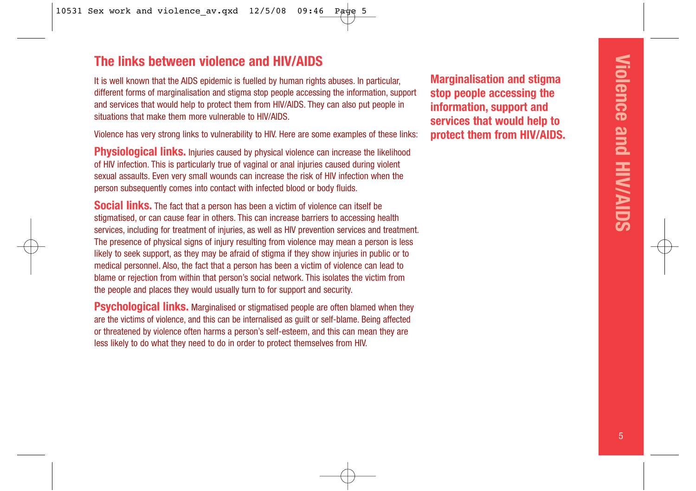## **The links between violence and HIV/AIDS**

It is well known that the AIDS epidemic is fuelled by human rights abuses. In particular, different forms of marginalisation and stigma stop people accessing the information, support and services that would help to protect them from HIV/AIDS. They can also put people in situations that make them more vulnerable to HIV/AIDS.

Violence has very strong links to vulnerability to HIV. Here are some examples of these links:

**Physiological links.** Injuries caused by physical violence can increase the likelihood of HIV infection. This is particularly true of vaginal or anal injuries caused during violent sexual assaults. Even very small wounds can increase the risk of HIV infection when the person subsequently comes into contact with infected blood or body fluids.

**Social links.** The fact that a person has been a victim of violence can itself be stigmatised, or can cause fear in others. This can increase barriers to accessing health services, including for treatment of injuries, as well as HIV prevention services and treatment. The presence of physical signs of injury resulting from violence may mean a person is less likely to seek support, as they may be afraid of stigma if they show injuries in public or to medical personnel. Also, the fact that a person has been a victim of violence can lead to blame or rejection from within that person's social network. This isolates the victim from the people and places they would usually turn to for support and security.

**Psychological links.** Marginalised or stigmatised people are often blamed when they are the victims of violence, and this can be internalised as guilt or self-blame. Being affected or threatened by violence often harms a person's self-esteem, and this can mean they are less likely to do what they need to do in order to protect themselves from HIV.

**Marginalisation and stigma stop people accessing the information, support and services that would help to protect them from HIV/AIDS.**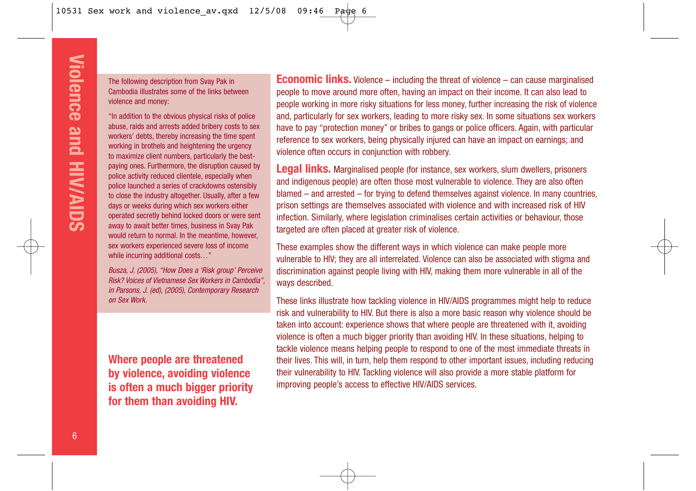The following description from Svay Pak in Cambodia illustrates some of the links between violence and money:

"In addition to the obvious physical risks of police abuse, raids and arrests added bribery costs to sex workers' debts, thereby increasing the time spent working in brothels and heightening the urgency to maximize client numbers, particularly the bestpaying ones. Furthermore, the disruption caused by police activity reduced clientele, especially when police launched a series of crackdowns ostensibly to close the industry altogether. Usually, after a few days or weeks during which sex workers either operated secretly behind locked doors or were sent away to await better times, business in Svay Pak would return to normal. In the meantime, however, sex workers experienced severe loss of income while incurring additional costs…"

Busza, J. (2005), "How Does a 'Risk group' Perceive Risk? Voices of Vietnamese Sex Workers in Cambodia", in Parsons, J. (ed), (2005), Contemporary Research on Sex Work.

**Where people are threatened by violence, avoiding violence is often a much bigger priority for them than avoiding HIV.**

**Economic links.** Violence – including the threat of violence – can cause marginalised people to move around more often, having an impact on their income. It can also lead to people working in more risky situations for less money, further increasing the risk of violence and, particularly for sex workers, leading to more risky sex. In some situations sex workers have to pay "protection money" or bribes to gangs or police officers. Again, with particular reference to sex workers, being physically injured can have an impact on earnings; and violence often occurs in conjunction with robbery.

**Legal links.** Marginalised people (for instance, sex workers, slum dwellers, prisoners and indigenous people) are often those most vulnerable to violence. They are also often blamed – and arrested – for trying to defend themselves against violence. In many countries, prison settings are themselves associated with violence and with increased risk of HIV infection. Similarly, where legislation criminalises certain activities or behaviour, those targeted are often placed at greater risk of violence.

These examples show the different ways in which violence can make people more vulnerable to HIV; they are all interrelated. Violence can also be associated with stigma and discrimination against people living with HIV, making them more vulnerable in all of the ways described.

These links illustrate how tackling violence in HIV/AIDS programmes might help to reduce risk and vulnerability to HIV. But there is also a more basic reason why violence should be taken into account: experience shows that where people are threatened with it, avoiding violence is often a much bigger priority than avoiding HIV. In these situations, helping to tackle violence means helping people to respond to one of the most immediate threats in their lives. This will, in turn, help them respond to other important issues, including reducing their vulnerability to HIV. Tackling violence will also provide a more stable platform for improving people's access to effective HIV/AIDS services.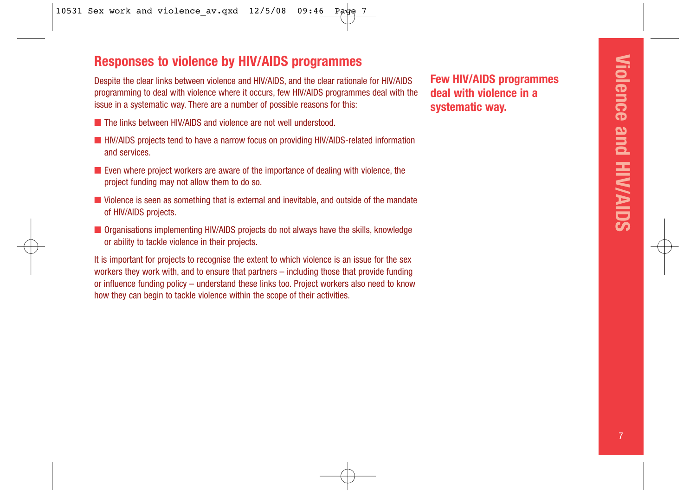## **Responses to violence by HIV/AIDS programmes**

Despite the clear links between violence and HIV/AIDS, and the clear rationale for HIV/AIDS programming to deal with violence where it occurs, few HIV/AIDS programmes deal with the issue in a systematic way. There are a number of possible reasons for this:

- The links between HIV/AIDS and violence are not well understood.
- HIV/AIDS projects tend to have a narrow focus on providing HIV/AIDS-related information and services.
- Even where project workers are aware of the importance of dealing with violence, the project funding may not allow them to do so.
- Violence is seen as something that is external and inevitable, and outside of the mandate of HIV/AIDS projects.
- Organisations implementing HIV/AIDS projects do not always have the skills, knowledge or ability to tackle violence in their projects.

It is important for projects to recognise the extent to which violence is an issue for the sex workers they work with, and to ensure that partners – including those that provide funding or influence funding policy – understand these links too. Project workers also need to know how they can begin to tackle violence within the scope of their activities.

**Few HIV/AIDS programmes deal with violence in a systematic way.**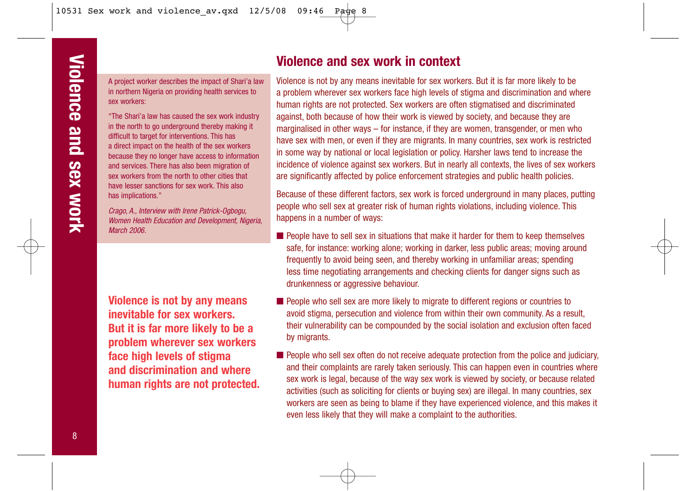A project worker describes the impact of Shari'a law in northern Nigeria on providing health services to sex workers:

"The Shari'a law has caused the sex work industry in the north to go underground thereby making it difficult to target for interventions. This has a direct impact on the health of the sex workers because they no longer have access to information and services. There has also been migration of sex workers from the north to other cities that have lesser sanctions for sex work. This also has implications."

Crago, A., Interview with Irene Patrick-Ogbogu, Women Health Education and Development, Nigeria, March 2006

**Violence is not by any means inevitable for sex workers. But it is far more likely to be a problem wherever sex workers face high levels of stigma and discrimination and where human rights are not protected.**

## **Violence and sex work in context**

Violence is not by any means inevitable for sex workers. But it is far more likely to be a problem wherever sex workers face high levels of stigma and discrimination and where human rights are not protected. Sex workers are often stigmatised and discriminated against, both because of how their work is viewed by society, and because they are marginalised in other ways – for instance, if they are women, transgender, or men who have sex with men, or even if they are migrants. In many countries, sex work is restricted in some way by national or local legislation or policy. Harsher laws tend to increase the incidence of violence against sex workers. But in nearly all contexts, the lives of sex workers are significantly affected by police enforcement strategies and public health policies.

Because of these different factors, sex work is forced underground in many places, putting people who sell sex at greater risk of human rights violations, including violence. This happens in a number of ways:

- People have to sell sex in situations that make it harder for them to keep themselves safe, for instance: working alone; working in darker, less public areas; moving around frequently to avoid being seen, and thereby working in unfamiliar areas; spending less time negotiating arrangements and checking clients for danger signs such as drunkenness or aggressive behaviour.
- People who sell sex are more likely to migrate to different regions or countries to avoid stigma, persecution and violence from within their own community. As a result, their vulnerability can be compounded by the social isolation and exclusion often faced by migrants.
- People who sell sex often do not receive adequate protection from the police and judiciary, and their complaints are rarely taken seriously. This can happen even in countries where sex work is legal, because of the way sex work is viewed by society, or because related activities (such as soliciting for clients or buying sex) are illegal. In many countries, sex workers are seen as being to blame if they have experienced violence, and this makes it even less likely that they will make a complaint to the authorities.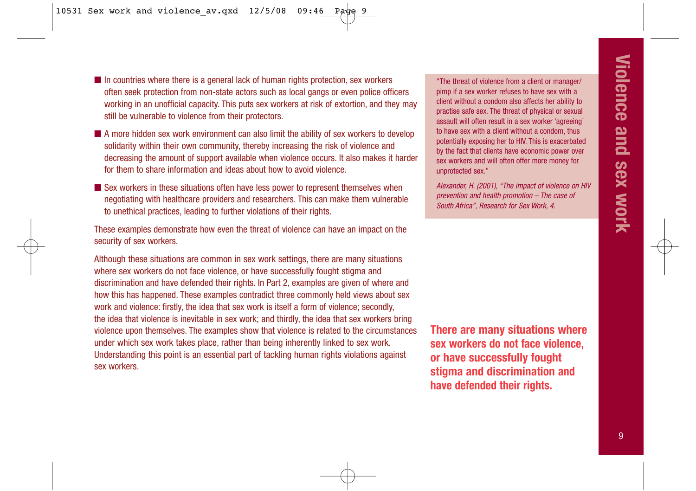■ In countries where there is a general lack of human rights protection, sex workers often seek protection from non-state actors such as local gangs or even police officers working in an unofficial capacity. This puts sex workers at risk of extortion, and they may still be vulnerable to violence from their protectors.

- A more hidden sex work environment can also limit the ability of sex workers to develop solidarity within their own community, thereby increasing the risk of violence and decreasing the amount of support available when violence occurs. It also makes it harder for them to share information and ideas about how to avoid violence.
- Sex workers in these situations often have less power to represent themselves when negotiating with healthcare providers and researchers. This can make them vulnerable to unethical practices, leading to further violations of their rights.

These examples demonstrate how even the threat of violence can have an impact on the security of sex workers.

Although these situations are common in sex work settings, there are many situations where sex workers do not face violence, or have successfully fought stigma and discrimination and have defended their rights. In Part 2, examples are given of where and how this has happened. These examples contradict three commonly held views about sex work and violence: firstly, the idea that sex work is itself a form of violence; secondly, the idea that violence is inevitable in sex work; and thirdly, the idea that sex workers bring violence upon themselves. The examples show that violence is related to the circumstances under which sex work takes place, rather than being inherently linked to sex work. Understanding this point is an essential part of tackling human rights violations against sex workers.

"The threat of violence from a client or manager/ pimp if a sex worker refuses to have sex with a client without a condom also affects her ability to practise safe sex. The threat of physical or sexual assault will often result in a sex worker 'agreeing' to have sex with a client without a condom, thus potentially exposing her to HIV. This is exacerbated by the fact that clients have economic power over sex workers and will often offer more money for unprotected sex."

Alexander, H. (2001), "The impact of violence on HIV prevention and health promotion – The case of South Africa", Research for Sex Work, 4.

**There are many situations where sex workers do not face violence, or have successfully fought stigma and discrimination and have defended their rights.**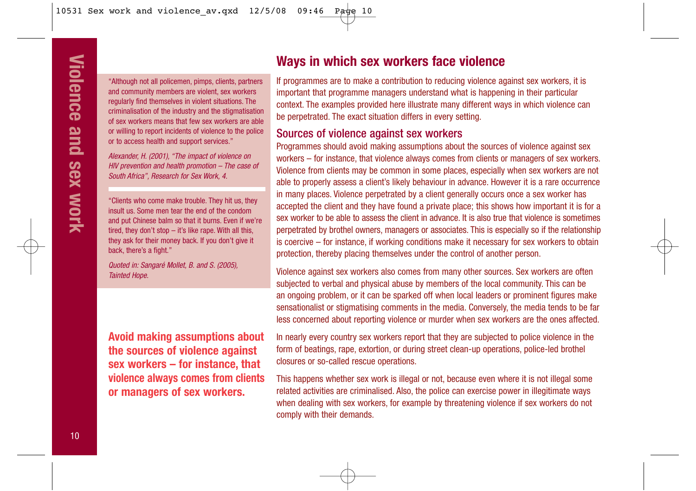"Although not all policemen, pimps, clients, partners and community members are violent, sex workers regularly find themselves in violent situations. The criminalisation of the industry and the stigmatisation of sex workers means that few sex workers are able or willing to report incidents of violence to the police or to access health and support services."

Alexander, H. (2001), "The impact of violence on HIV prevention and health promotion – The case of South Africa", Research for Sex Work, 4.

"Clients who come make trouble. They hit us, they insult us. Some men tear the end of the condom and put Chinese balm so that it burns. Even if we're tired, they don't stop – it's like rape. With all this, they ask for their money back. If you don't give it back, there's a fight."

Quoted in: Sangaré Mollet, B. and S. (2005), Tainted Hope.

**Avoid making assumptions about the sources of violence against sex workers – for instance, that violence always comes from clients or managers of sex workers.**

## **Ways in which sex workers face violence**

If programmes are to make a contribution to reducing violence against sex workers, it is important that programme managers understand what is happening in their particular context. The examples provided here illustrate many different ways in which violence can be perpetrated. The exact situation differs in every setting.

#### Sources of violence against sex workers

Programmes should avoid making assumptions about the sources of violence against sex workers – for instance, that violence always comes from clients or managers of sex workers. Violence from clients may be common in some places, especially when sex workers are not able to properly assess a client's likely behaviour in advance. However it is a rare occurrence in many places. Violence perpetrated by a client generally occurs once a sex worker has accepted the client and they have found a private place; this shows how important it is for a sex worker to be able to assess the client in advance. It is also true that violence is sometimes perpetrated by brothel owners, managers or associates. This is especially so if the relationship is coercive – for instance, if working conditions make it necessary for sex workers to obtain protection, thereby placing themselves under the control of another person.

Violence against sex workers also comes from many other sources. Sex workers are often subjected to verbal and physical abuse by members of the local community. This can be an ongoing problem, or it can be sparked off when local leaders or prominent figures make sensationalist or stigmatising comments in the media. Conversely, the media tends to be far less concerned about reporting violence or murder when sex workers are the ones affected.

In nearly every country sex workers report that they are subjected to police violence in the form of beatings, rape, extortion, or during street clean-up operations, police-led brothel closures or so-called rescue operations.

This happens whether sex work is illegal or not, because even where it is not illegal some related activities are criminalised. Also, the police can exercise power in illegitimate ways when dealing with sex workers, for example by threatening violence if sex workers do not comply with their demands.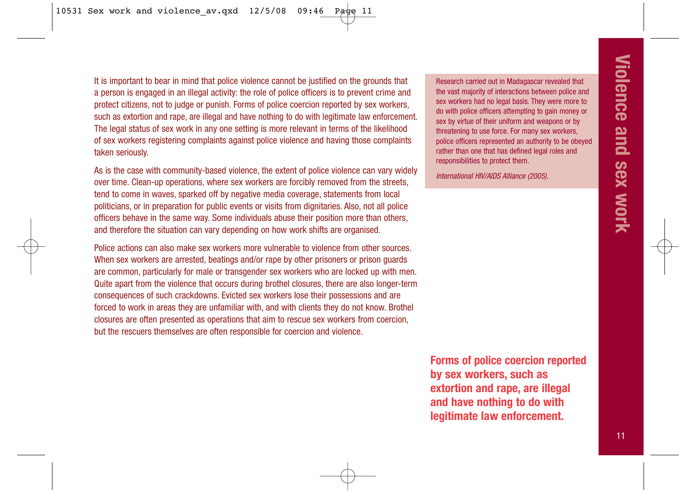It is important to bear in mind that police violence cannot be justified on the grounds that a person is engaged in an illegal activity: the role of police officers is to prevent crime and protect citizens, not to judge or punish. Forms of police coercion reported by sex workers, such as extortion and rape, are illegal and have nothing to do with legitimate law enforcement. The legal status of sex work in any one setting is more relevant in terms of the likelihood of sex workers registering complaints against police violence and having those complaints taken seriously.

As is the case with community-based violence, the extent of police violence can vary widely over time. Clean-up operations, where sex workers are forcibly removed from the streets, tend to come in waves, sparked off by negative media coverage, statements from local politicians, or in preparation for public events or visits from dignitaries. Also, not all police officers behave in the same way. Some individuals abuse their position more than others, and therefore the situation can vary depending on how work shifts are organised.

Police actions can also make sex workers more vulnerable to violence from other sources. When sex workers are arrested, beatings and/or rape by other prisoners or prison guards are common, particularly for male or transgender sex workers who are locked up with men. Quite apart from the violence that occurs during brothel closures, there are also longer-term consequences of such crackdowns. Evicted sex workers lose their possessions and are forced to work in areas they are unfamiliar with, and with clients they do not know. Brothel closures are often presented as operations that aim to rescue sex workers from coercion, but the rescuers themselves are often responsible for coercion and violence.

Research carried out in Madagascar revealed that the vast majority of interactions between police and sex workers had no legal basis. They were more to do with police officers attempting to gain money or sex by virtue of their uniform and weapons or by threatening to use force. For many sex workers, police officers represented an authority to be obeyed rather than one that has defined legal roles and responsibilities to protect them.

International HIV/AIDS Alliance (2005).

**Forms of police coercion reported by sex workers, such as extortion and rape, are illegal and have nothing to do with legitimate law enforcement.**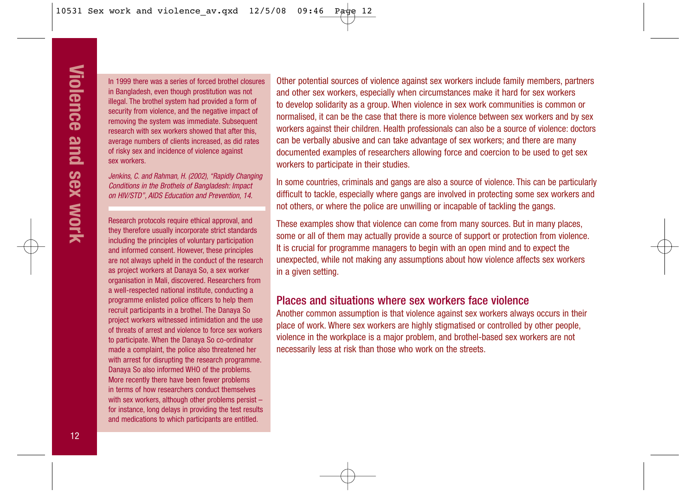In 1999 there was a series of forced brothel closures in Bangladesh, even though prostitution was not illegal. The brothel system had provided a form of security from violence, and the negative impact of removing the system was immediate. Subsequent research with sex workers showed that after this, average numbers of clients increased, as did rates of risky sex and incidence of violence against sex workers.

Jenkins, C. and Rahman, H. (2002), "Rapidly Changing Conditions in the Brothels of Bangladesh: Impact on HIV/STD", AIDS Education and Prevention, 14.

Research protocols require ethical approval, and they therefore usually incorporate strict standards including the principles of voluntary participation and informed consent. However, these principles are not always upheld in the conduct of the research as project workers at Danaya So, a sex worker organisation in Mali, discovered. Researchers from a well-respected national institute, conducting a programme enlisted police officers to help them recruit participants in a brothel. The Danaya So project workers witnessed intimidation and the use of threats of arrest and violence to force sex workers to participate. When the Danaya So co-ordinator made a complaint, the police also threatened her with arrest for disrupting the research programme. Danaya So also informed WHO of the problems. More recently there have been fewer problems in terms of how researchers conduct themselves with sex workers, although other problems persist – for instance, long delays in providing the test results and medications to which participants are entitled.

Other potential sources of violence against sex workers include family members, partners and other sex workers, especially when circumstances make it hard for sex workers to develop solidarity as a group. When violence in sex work communities is common or normalised, it can be the case that there is more violence between sex workers and by sex workers against their children. Health professionals can also be a source of violence: doctors can be verbally abusive and can take advantage of sex workers; and there are many documented examples of researchers allowing force and coercion to be used to get sex workers to participate in their studies.

In some countries, criminals and gangs are also a source of violence. This can be particularly difficult to tackle, especially where gangs are involved in protecting some sex workers and not others, or where the police are unwilling or incapable of tackling the gangs.

These examples show that violence can come from many sources. But in many places, some or all of them may actually provide a source of support or protection from violence. It is crucial for programme managers to begin with an open mind and to expect the unexpected, while not making any assumptions about how violence affects sex workers in a given setting.

#### Places and situations where sex workers face violence

Another common assumption is that violence against sex workers always occurs in their place of work. Where sex workers are highly stigmatised or controlled by other people, violence in the workplace is a major problem, and brothel-based sex workers are not necessarily less at risk than those who work on the streets.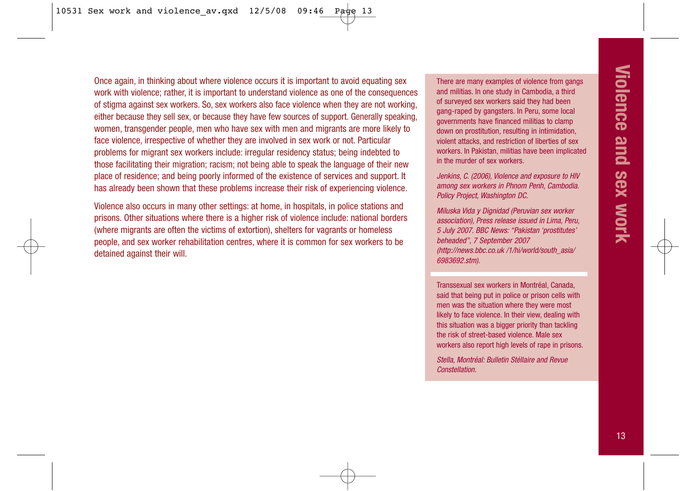Once again, in thinking about where violence occurs it is important to avoid equating sex work with violence; rather, it is important to understand violence as one of the consequences of stigma against sex workers. So, sex workers also face violence when they are not working, either because they sell sex, or because they have few sources of support. Generally speaking, women, transgender people, men who have sex with men and migrants are more likely to face violence, irrespective of whether they are involved in sex work or not. Particular problems for migrant sex workers include: irregular residency status; being indebted to those facilitating their migration; racism; not being able to speak the language of their new place of residence; and being poorly informed of the existence of services and support. It has already been shown that these problems increase their risk of experiencing violence.

Violence also occurs in many other settings: at home, in hospitals, in police stations and prisons. Other situations where there is a higher risk of violence include: national borders (where migrants are often the victims of extortion), shelters for vagrants or homeless people, and sex worker rehabilitation centres, where it is common for sex workers to be detained against their will.

There are many examples of violence from gangs and militias. In one study in Cambodia, a third of surveyed sex workers said they had been gang-raped by gangsters. In Peru, some local governments have financed militias to clamp down on prostitution, resulting in intimidation, violent attacks, and restriction of liberties of sex workers. In Pakistan, militias have been implicated in the murder of sex workers.

Jenkins, C. (2006), Violence and exposure to HIV among sex workers in Phnom Penh, Cambodia. Policy Project, Washington DC.

Miluska Vida y Dignidad (Peruvian sex worker association), Press release issued in Lima, Peru, 5 July 2007. BBC News: "Pakistan 'prostitutes' beheaded", 7 September 2007 (http://news.bbc.co.uk /1/hi/world/south\_asia/ 6983692.stm).

Transsexual sex workers in Montréal, Canada, said that being put in police or prison cells with men was the situation where they were most likely to face violence. In their view, dealing with this situation was a bigger priority than tackling the risk of street-based violence. Male sex workers also report high levels of rape in prisons.

Stella, Montréal: Bulletin Stéllaire and Revue **Constellation**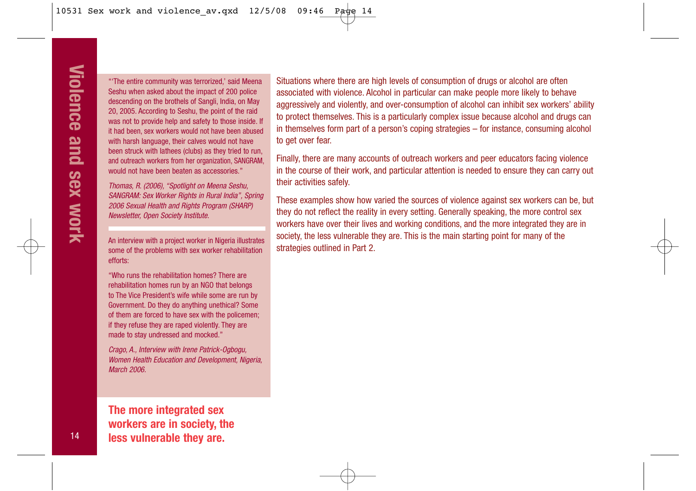"'The entire community was terrorized,' said Meena Seshu when asked about the impact of 200 police descending on the brothels of Sangli, India, on May 20, 2005. According to Seshu, the point of the raid was not to provide help and safety to those inside. If it had been, sex workers would not have been abused with harsh language, their calves would not have been struck with lathees (clubs) as they tried to run, and outreach workers from her organization, SANGRAM, would not have been beaten as accessories."

Thomas, R. (2006), "Spotlight on Meena Seshu, SANGRAM: Sex Worker Rights in Rural India", Spring 2006 Sexual Health and Rights Program (SHARP) Newsletter, Open Society Institute.

An interview with a project worker in Nigeria illustrates some of the problems with sex worker rehabilitation efforts:

"Who runs the rehabilitation homes? There are rehabilitation homes run by an NGO that belongs to The Vice President's wife while some are run by Government. Do they do anything unethical? Some of them are forced to have sex with the policemen; if they refuse they are raped violently. They are made to stay undressed and mocked."

Crago, A., Interview with Irene Patrick-Ogbogu, Women Health Education and Development, Nigeria, March 2006

**The more integrated sex workers are in society, the less vulnerable they are.**

Situations where there are high levels of consumption of drugs or alcohol are often associated with violence. Alcohol in particular can make people more likely to behave aggressively and violently, and over-consumption of alcohol can inhibit sex workers' ability to protect themselves. This is a particularly complex issue because alcohol and drugs can in themselves form part of a person's coping strategies – for instance, consuming alcohol to get over fear.

Finally, there are many accounts of outreach workers and peer educators facing violence in the course of their work, and particular attention is needed to ensure they can carry out their activities safely.

These examples show how varied the sources of violence against sex workers can be, but they do not reflect the reality in every setting. Generally speaking, the more control sex workers have over their lives and working conditions, and the more integrated they are in society, the less vulnerable they are. This is the main starting point for many of the strategies outlined in Part 2.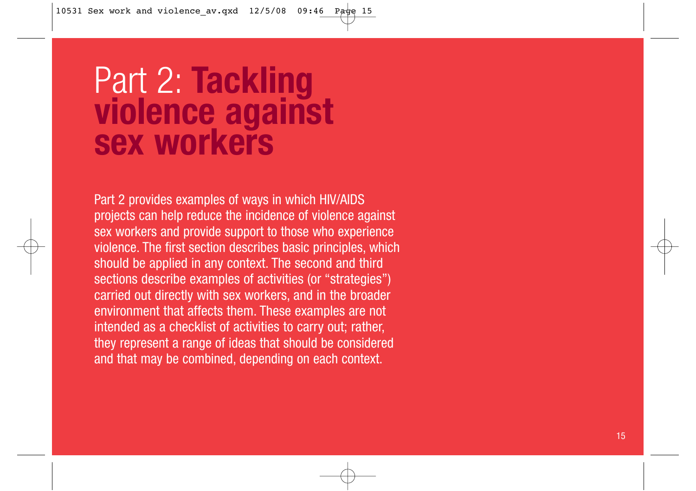# Part 2: **Tackling violence against sex workers**

Part 2 provides examples of ways in which HIV/AIDS projects can help reduce the incidence of violence against sex workers and provide support to those who experience violence. The first section describes basic principles, which should be applied in any context. The second and third sections describe examples of activities (or "strategies") carried out directly with sex workers, and in the broader environment that affects them. These examples are not intended as a checklist of activities to carry out; rather, they represent a range of ideas that should be considered and that may be combined, depending on each context.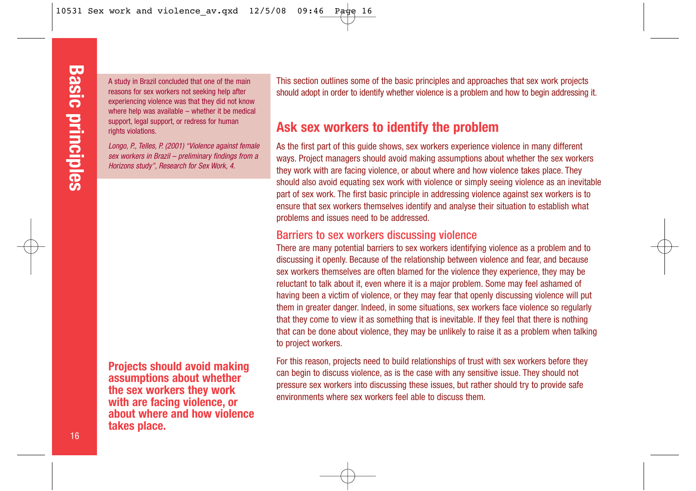A study in Brazil concluded that one of the main reasons for sex workers not seeking help after experiencing violence was that they did not know where help was available – whether it be medical support, legal support, or redress for human rights violations.

Longo, P., Telles, P. (2001) "Violence against female sex workers in Brazil – preliminary findings from a Horizons study", Research for Sex Work, 4.

**Projects should avoid making assumptions about whether the sex workers they work with are facing violence, or about where and how violence takes place.**

This section outlines some of the basic principles and approaches that sex work projects should adopt in order to identify whether violence is a problem and how to begin addressing it.

## **Ask sex workers to identify the problem**

As the first part of this quide shows, sex workers experience violence in many different ways. Project managers should avoid making assumptions about whether the sex workers they work with are facing violence, or about where and how violence takes place. They should also avoid equating sex work with violence or simply seeing violence as an inevitable part of sex work. The first basic principle in addressing violence against sex workers is to ensure that sex workers themselves identify and analyse their situation to establish what problems and issues need to be addressed.

#### Barriers to sex workers discussing violence

There are many potential barriers to sex workers identifying violence as a problem and to discussing it openly. Because of the relationship between violence and fear, and because sex workers themselves are often blamed for the violence they experience, they may be reluctant to talk about it, even where it is a major problem. Some may feel ashamed of having been a victim of violence, or they may fear that openly discussing violence will put them in greater danger. Indeed, in some situations, sex workers face violence so regularly that they come to view it as something that is inevitable. If they feel that there is nothing that can be done about violence, they may be unlikely to raise it as a problem when talking to project workers.

For this reason, projects need to build relationships of trust with sex workers before they can begin to discuss violence, as is the case with any sensitive issue. They should not pressure sex workers into discussing these issues, but rather should try to provide safe environments where sex workers feel able to discuss them.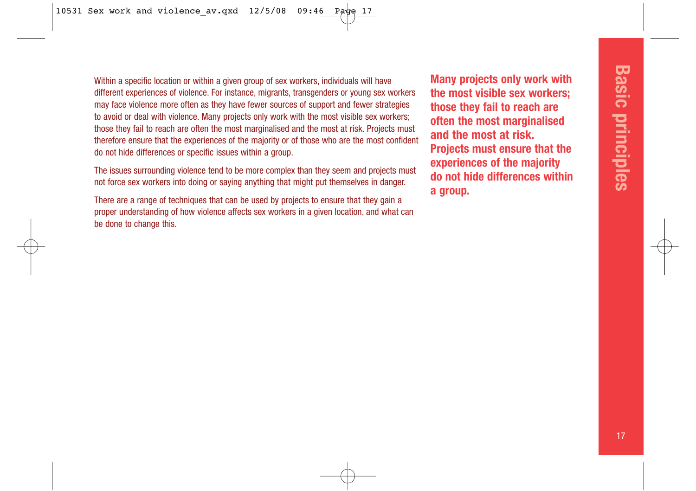Within a specific location or within a given group of sex workers, individuals will have different experiences of violence. For instance, migrants, transgenders or young sex workers may face violence more often as they have fewer sources of support and fewer strategies to avoid or deal with violence. Many projects only work with the most visible sex workers; those they fail to reach are often the most marginalised and the most at risk. Projects must therefore ensure that the experiences of the majority or of those who are the most confident do not hide differences or specific issues within a group.

The issues surrounding violence tend to be more complex than they seem and projects must not force sex workers into doing or saying anything that might put themselves in danger.

There are a range of techniques that can be used by projects to ensure that they gain a proper understanding of how violence affects sex workers in a given location, and what can be done to change this.

**Many projects only work with the most visible sex workers; those they fail to reach are often the most marginalised and the most at risk. Projects must ensure that the experiences of the majority do not hide differences within a group.**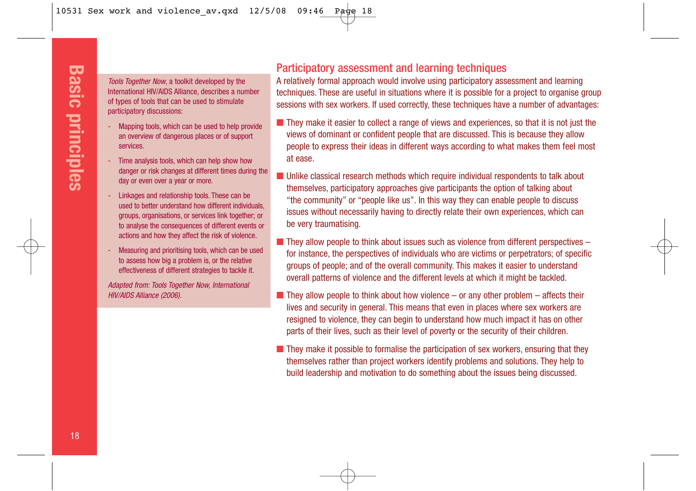Tools Together Now, a toolkit developed by the International HIV/AIDS Alliance, describes a number of types of tools that can be used to stimulate participatory discussions:

- Mapping tools, which can be used to help provide an overview of dangerous places or of support services.
- Time analysis tools, which can help show how danger or risk changes at different times during the day or even over a year or more.
- Linkages and relationship tools. These can be used to better understand how different individuals, groups, organisations, or services link together; or to analyse the consequences of different events or actions and how they affect the risk of violence.
- Measuring and prioritising tools, which can be used to assess how big a problem is, or the relative effectiveness of different strategies to tackle it.

Adapted from: Tools Together Now, International HIV/AIDS Alliance (2006).

### Participatory assessment and learning techniques

A relatively formal approach would involve using participatory assessment and learning techniques. These are useful in situations where it is possible for a project to organise group sessions with sex workers. If used correctly, these techniques have a number of advantages:

- They make it easier to collect a range of views and experiences, so that it is not just the views of dominant or confident people that are discussed. This is because they allow people to express their ideas in different ways according to what makes them feel most at ease.
- Unlike classical research methods which require individual respondents to talk about themselves, participatory approaches give participants the option of talking about "the community" or "people like us". In this way they can enable people to discuss issues without necessarily having to directly relate their own experiences, which can be very traumatising.
- $\blacksquare$  They allow people to think about issues such as violence from different perspectives for instance, the perspectives of individuals who are victims or perpetrators; of specific groups of people; and of the overall community. This makes it easier to understand overall patterns of violence and the different levels at which it might be tackled.
- $\blacksquare$  They allow people to think about how violence or any other problem affects their lives and security in general. This means that even in places where sex workers are resigned to violence, they can begin to understand how much impact it has on other parts of their lives, such as their level of poverty or the security of their children.
- They make it possible to formalise the participation of sex workers, ensuring that they themselves rather than project workers identify problems and solutions. They help to build leadership and motivation to do something about the issues being discussed.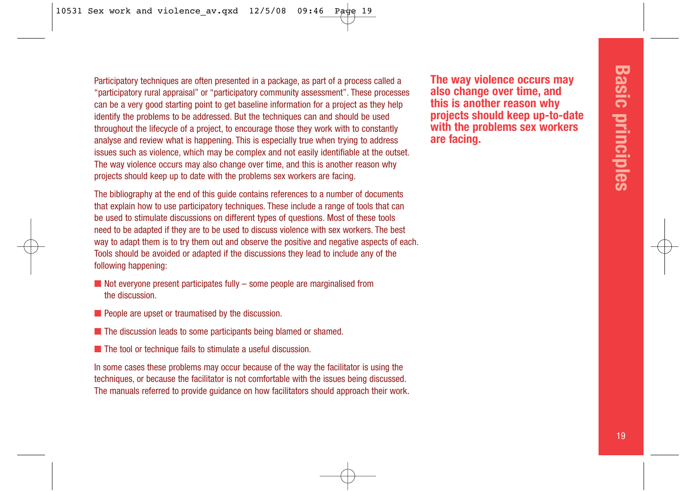Participatory techniques are often presented in a package, as part of a process called a "participatory rural appraisal" or "participatory community assessment". These processes can be a very good starting point to get baseline information for a project as they help identify the problems to be addressed. But the techniques can and should be used throughout the lifecycle of a project, to encourage those they work with to constantly analyse and review what is happening. This is especially true when trying to address issues such as violence, which may be complex and not easily identifiable at the outset. The way violence occurs may also change over time, and this is another reason why projects should keep up to date with the problems sex workers are facing.

The bibliography at the end of this guide contains references to a number of documents that explain how to use participatory techniques. These include a range of tools that can be used to stimulate discussions on different types of questions. Most of these tools need to be adapted if they are to be used to discuss violence with sex workers. The best way to adapt them is to try them out and observe the positive and negative aspects of each. Tools should be avoided or adapted if the discussions they lead to include any of the following happening:

- $\blacksquare$  Not everyone present participates fully some people are marginalised from the discussion.
- People are upset or traumatised by the discussion.
- The discussion leads to some participants being blamed or shamed.
- The tool or technique fails to stimulate a useful discussion.

In some cases these problems may occur because of the way the facilitator is using the techniques, or because the facilitator is not comfortable with the issues being discussed. The manuals referred to provide guidance on how facilitators should approach their work.

**The way violence occurs may also change over time, and this is another reason why projects should keep up-to-date with the problems sex workers are facing.**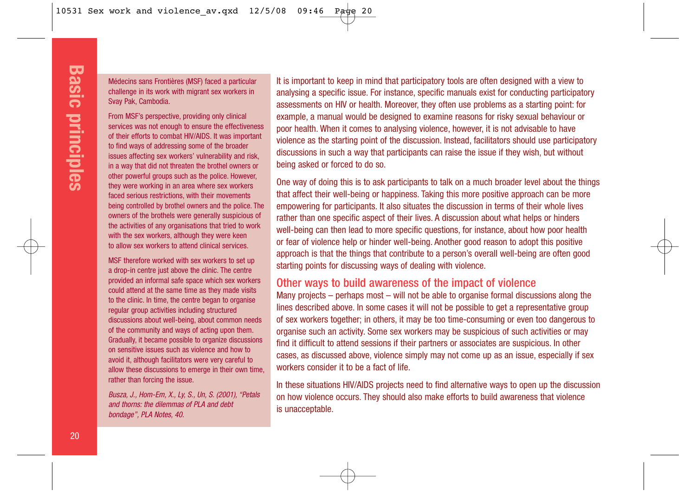Médecins sans Frontières (MSF) faced a particular challenge in its work with migrant sex workers in Svay Pak, Cambodia.

From MSF's perspective, providing only clinical services was not enough to ensure the effectiveness of their efforts to combat HIV/AIDS. It was important to find ways of addressing some of the broader issues affecting sex workers' vulnerability and risk, in a way that did not threaten the brothel owners or other powerful groups such as the police. However, they were working in an area where sex workers faced serious restrictions, with their movements being controlled by brothel owners and the police. The owners of the brothels were generally suspicious of the activities of any organisations that tried to work with the sex workers, although they were keen to allow sex workers to attend clinical services.

MSF therefore worked with sex workers to set up a drop-in centre just above the clinic. The centre provided an informal safe space which sex workers could attend at the same time as they made visits to the clinic. In time, the centre began to organise regular group activities including structured discussions about well-being, about common needs of the community and ways of acting upon them. Gradually, it became possible to organize discussions on sensitive issues such as violence and how to avoid it, although facilitators were very careful to allow these discussions to emerge in their own time, rather than forcing the issue.

Busza, J., Hom-Em, X., Ly, S., Un, S. (2001), "Petals and thorns: the dilemmas of PLA and debt bondage", PLA Notes, 40.

It is important to keep in mind that participatory tools are often designed with a view to analysing a specific issue. For instance, specific manuals exist for conducting participatory assessments on HIV or health. Moreover, they often use problems as a starting point: for example, a manual would be designed to examine reasons for risky sexual behaviour or poor health. When it comes to analysing violence, however, it is not advisable to have violence as the starting point of the discussion. Instead, facilitators should use participatory discussions in such a way that participants can raise the issue if they wish, but without being asked or forced to do so.

One way of doing this is to ask participants to talk on a much broader level about the things that affect their well-being or happiness. Taking this more positive approach can be more empowering for participants. It also situates the discussion in terms of their whole lives rather than one specific aspect of their lives. A discussion about what helps or hinders well-being can then lead to more specific questions, for instance, about how poor health or fear of violence help or hinder well-being. Another good reason to adopt this positive approach is that the things that contribute to a person's overall well-being are often good starting points for discussing ways of dealing with violence.

#### Other ways to build awareness of the impact of violence

Many projects – perhaps most – will not be able to organise formal discussions along the lines described above. In some cases it will not be possible to get a representative group of sex workers together; in others, it may be too time-consuming or even too dangerous to organise such an activity. Some sex workers may be suspicious of such activities or may find it difficult to attend sessions if their partners or associates are suspicious. In other cases, as discussed above, violence simply may not come up as an issue, especially if sex workers consider it to be a fact of life.

In these situations HIV/AIDS projects need to find alternative ways to open up the discussion on how violence occurs. They should also make efforts to build awareness that violence is unacceptable.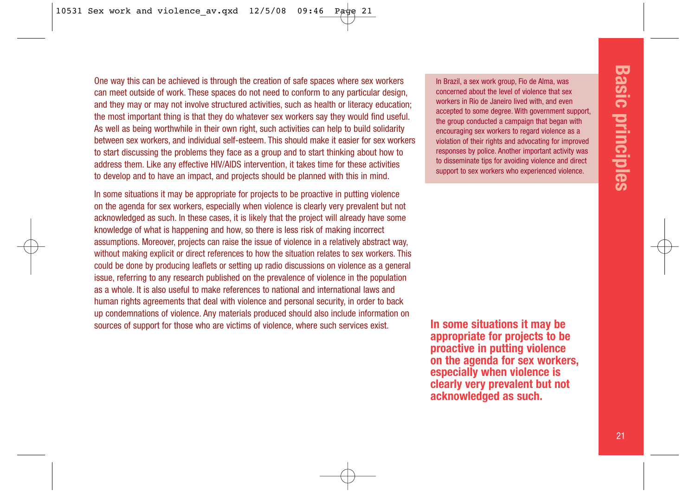One way this can be achieved is through the creation of safe spaces where sex workers can meet outside of work. These spaces do not need to conform to any particular design, and they may or may not involve structured activities, such as health or literacy education; the most important thing is that they do whatever sex workers say they would find useful. As well as being worthwhile in their own right, such activities can help to build solidarity between sex workers, and individual self-esteem. This should make it easier for sex workers to start discussing the problems they face as a group and to start thinking about how to address them. Like any effective HIV/AIDS intervention, it takes time for these activities to develop and to have an impact, and projects should be planned with this in mind.

In some situations it may be appropriate for projects to be proactive in putting violence on the agenda for sex workers, especially when violence is clearly very prevalent but not acknowledged as such. In these cases, it is likely that the project will already have some knowledge of what is happening and how, so there is less risk of making incorrect assumptions. Moreover, projects can raise the issue of violence in a relatively abstract way, without making explicit or direct references to how the situation relates to sex workers. This could be done by producing leaflets or setting up radio discussions on violence as a general issue, referring to any research published on the prevalence of violence in the population as a whole. It is also useful to make references to national and international laws and human rights agreements that deal with violence and personal security, in order to back up condemnations of violence. Any materials produced should also include information on sources of support for those who are victims of violence, where such services exist.

In Brazil, a sex work group, Fio de Alma, was concerned about the level of violence that sex workers in Rio de Janeiro lived with, and even accepted to some degree. With government support, the group conducted a campaign that began with encouraging sex workers to regard violence as a violation of their rights and advocating for improved responses by police. Another important activity was to disseminate tips for avoiding violence and direct support to sex workers who experienced violence.

**In some situations it may be appropriate for projects to be proactive in putting violence on the agenda for sex workers, especially when violence is clearly very prevalent but not acknowledged as such.**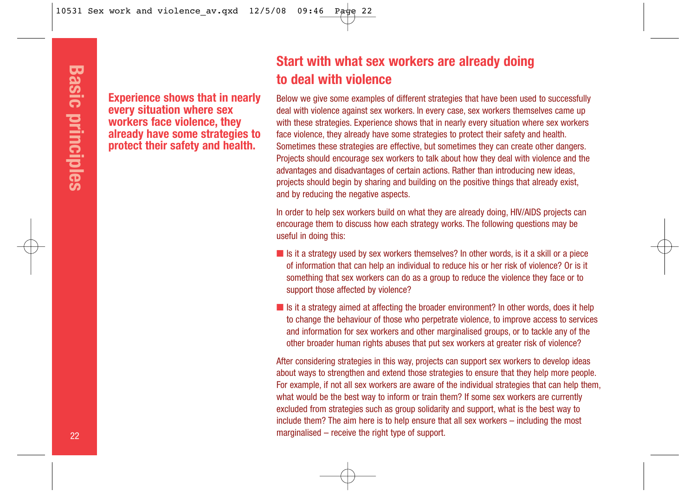**Experience shows that in nearly every situation where sex workers face violence, they already have some strategies to protect their safety and health.**

## **Start with what sex workers are already doing to deal with violence**

Below we give some examples of different strategies that have been used to successfully deal with violence against sex workers. In every case, sex workers themselves came up with these strategies. Experience shows that in nearly every situation where sex workers face violence, they already have some strategies to protect their safety and health. Sometimes these strategies are effective, but sometimes they can create other dangers. Projects should encourage sex workers to talk about how they deal with violence and the advantages and disadvantages of certain actions. Rather than introducing new ideas, projects should begin by sharing and building on the positive things that already exist, and by reducing the negative aspects. **Experience shows that in nearly**<br> **Experience sext works and the reserved the receiver shows that in workers face violence, they with these stategies. Experience shows that in already have some strategies to take workers** 

In order to help sex workers build on what they are already doing, HIV/AIDS projects can encourage them to discuss how each strategy works. The following questions may be useful in doing this:

- $\blacksquare$  Is it a strategy used by sex workers themselves? In other words, is it a skill or a piece of information that can help an individual to reduce his or her risk of violence? Or is it something that sex workers can do as a group to reduce the violence they face or to support those affected by violence?
- Is it a strategy aimed at affecting the broader environment? In other words, does it help to change the behaviour of those who perpetrate violence, to improve access to services and information for sex workers and other marginalised groups, or to tackle any of the other broader human rights abuses that put sex workers at greater risk of violence?

After considering strategies in this way, projects can support sex workers to develop ideas about ways to strengthen and extend those strategies to ensure that they help more people. For example, if not all sex workers are aware of the individual strategies that can help them, what would be the best way to inform or train them? If some sex workers are currently excluded from strategies such as group solidarity and support, what is the best way to include them? The aim here is to help ensure that all sex workers – including the most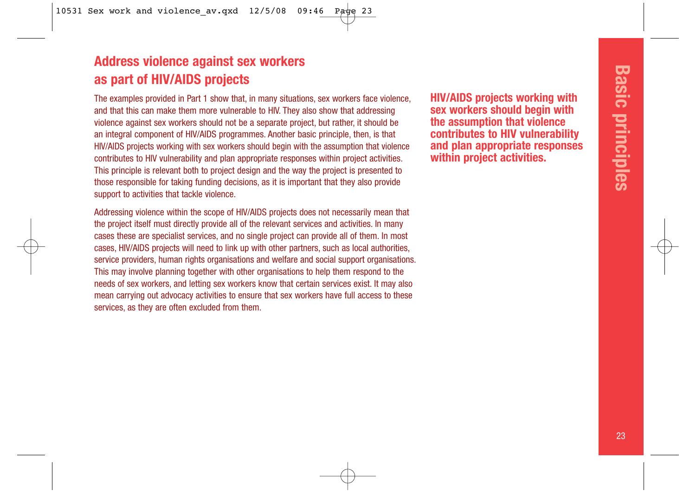## **Address violence against sex workers as part of HIV/AIDS projects**

The examples provided in Part 1 show that, in many situations, sex workers face violence, and that this can make them more vulnerable to HIV. They also show that addressing violence against sex workers should not be a separate project, but rather, it should be an integral component of HIV/AIDS programmes. Another basic principle, then, is that HIV/AIDS projects working with sex workers should begin with the assumption that violence contributes to HIV vulnerability and plan appropriate responses within project activities. This principle is relevant both to project design and the way the project is presented to those responsible for taking funding decisions, as it is important that they also provide support to activities that tackle violence.

Addressing violence within the scope of HIV/AIDS projects does not necessarily mean that the project itself must directly provide all of the relevant services and activities. In many cases these are specialist services, and no single project can provide all of them. In most cases, HIV/AIDS projects will need to link up with other partners, such as local authorities, service providers, human rights organisations and welfare and social support organisations. This may involve planning together with other organisations to help them respond to the needs of sex workers, and letting sex workers know that certain services exist. It may also mean carrying out advocacy activities to ensure that sex workers have full access to these services, as they are often excluded from them.

**HIV/AIDS projects working with sex workers should begin with the assumption that violence contributes to HIV vulnerability and plan appropriate responses within project activities.**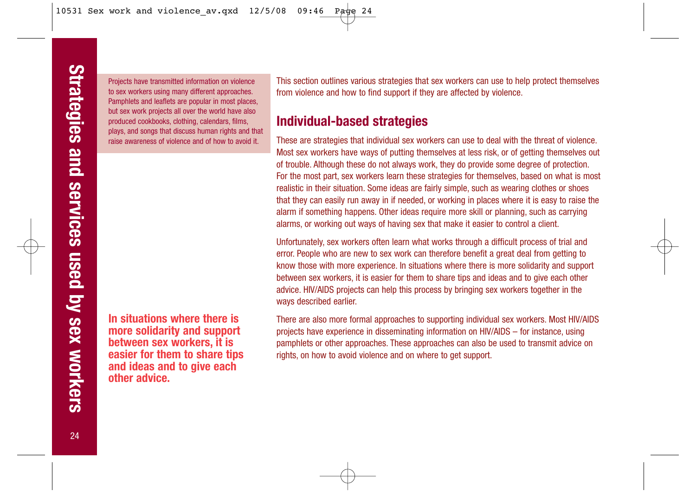Projects have transmitted information on violence to sex workers using many different approaches. Pamphlets and leaflets are popular in most places, but sex work projects all over the world have also produced cookbooks, clothing, calendars, films, plays, and songs that discuss human rights and that raise awareness of violence and of how to avoid it.

**In situations where there is more solidarity and support between sex workers, it is easier for them to share tips and ideas and to give each other advice.**

This section outlines various strategies that sex workers can use to help protect themselves from violence and how to find support if they are affected by violence.

## **Individual-based strategies**

These are strategies that individual sex workers can use to deal with the threat of violence. Most sex workers have ways of putting themselves at less risk, or of getting themselves out of trouble. Although these do not always work, they do provide some degree of protection. For the most part, sex workers learn these strategies for themselves, based on what is most realistic in their situation. Some ideas are fairly simple, such as wearing clothes or shoes that they can easily run away in if needed, or working in places where it is easy to raise the alarm if something happens. Other ideas require more skill or planning, such as carrying alarms, or working out ways of having sex that make it easier to control a client.

Unfortunately, sex workers often learn what works through a difficult process of trial and error. People who are new to sex work can therefore benefit a great deal from getting to know those with more experience. In situations where there is more solidarity and support between sex workers, it is easier for them to share tips and ideas and to give each other advice. HIV/AIDS projects can help this process by bringing sex workers together in the ways described earlier.

There are also more formal approaches to supporting individual sex workers. Most HIV/AIDS projects have experience in disseminating information on HIV/AIDS – for instance, using pamphlets or other approaches. These approaches can also be used to transmit advice on rights, on how to avoid violence and on where to get support.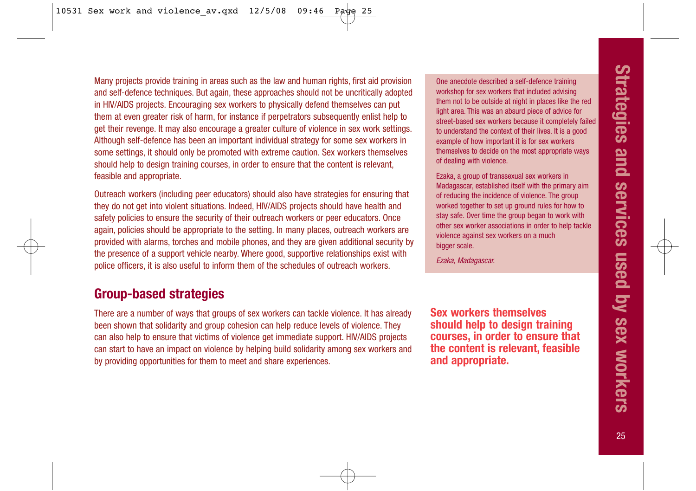Many projects provide training in areas such as the law and human rights, first aid provision and self-defence techniques. But again, these approaches should not be uncritically adopted in HIV/AIDS projects. Encouraging sex workers to physically defend themselves can put them at even greater risk of harm, for instance if perpetrators subsequently enlist help to get their revenge. It may also encourage a greater culture of violence in sex work settings. Although self-defence has been an important individual strategy for some sex workers in some settings, it should only be promoted with extreme caution. Sex workers themselves should help to design training courses, in order to ensure that the content is relevant, feasible and appropriate.

Outreach workers (including peer educators) should also have strategies for ensuring that they do not get into violent situations. Indeed, HIV/AIDS projects should have health and safety policies to ensure the security of their outreach workers or peer educators. Once again, policies should be appropriate to the setting. In many places, outreach workers are provided with alarms, torches and mobile phones, and they are given additional security by the presence of a support vehicle nearby. Where good, supportive relationships exist with police officers, it is also useful to inform them of the schedules of outreach workers.

## **Group-based strategies**

There are a number of ways that groups of sex workers can tackle violence. It has already been shown that solidarity and group cohesion can help reduce levels of violence. They can also help to ensure that victims of violence get immediate support. HIV/AIDS projects can start to have an impact on violence by helping build solidarity among sex workers and by providing opportunities for them to meet and share experiences.

One anecdote described a self-defence training workshop for sex workers that included advising them not to be outside at night in places like the red light area. This was an absurd piece of advice for street-based sex workers because it completely failed to understand the context of their lives. It is a good example of how important it is for sex workers themselves to decide on the most appropriate ways of dealing with violence.

Ezaka, a group of transsexual sex workers in Madagascar, established itself with the primary aim of reducing the incidence of violence. The group worked together to set up ground rules for how to stay safe. Over time the group began to work with other sex worker associations in order to help tackle violence against sex workers on a much bigger scale.

Ezaka, Madagascar.

**Sex workers themselves should help to design training courses, in order to ensure that the content is relevant, feasible and appropriate.**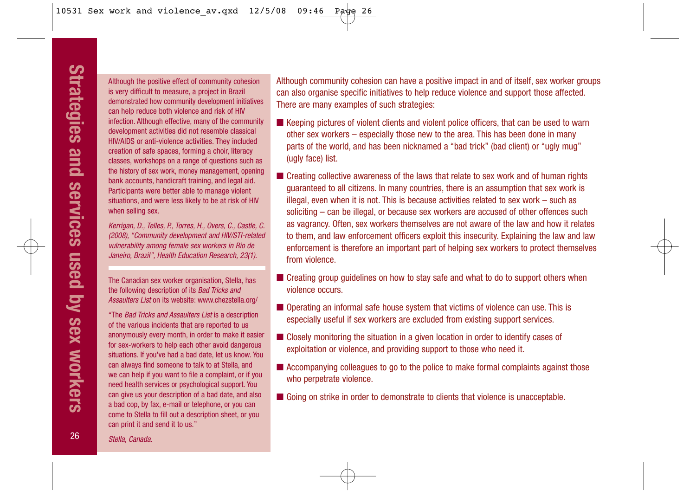Although the positive effect of community cohesion is very difficult to measure, a project in Brazil demonstrated how community development initiatives can help reduce both violence and risk of HIV infection. Although effective, many of the community development activities did not resemble classical HIV/AIDS or anti-violence activities. They included creation of safe spaces, forming a choir, literacy classes, workshops on a range of questions such as the history of sex work, money management, opening bank accounts, handicraft training, and legal aid. Participants were better able to manage violent situations, and were less likely to be at risk of HIV when selling sex.

Kerrigan, D., Telles, P., Torres, H., Overs, C., Castle, C. (2008), "Community development and HIV/STI-related vulnerability among female sex workers in Rio de Janeiro, Brazil", Health Education Research, 23(1).

The Canadian sex worker organisation, Stella, has the following description of its Bad Tricks and Assaulters List on its website: www.chezstella.org/

"The Bad Tricks and Assaulters List is a description of the various incidents that are reported to us anonymously every month, in order to make it easier for sex-workers to help each other avoid dangerous situations. If you've had a bad date, let us know. You can always find someone to talk to at Stella, and we can help if you want to file a complaint, or if you need health services or psychological support. You can give us your description of a bad date, and also a bad cop, by fax, e-mail or telephone, or you can come to Stella to fill out a description sheet, or you can print it and send it to us."

Although community cohesion can have a positive impact in and of itself, sex worker groups can also organise specific initiatives to help reduce violence and support those affected. There are many examples of such strategies:

- Keeping pictures of violent clients and violent police officers, that can be used to warn other sex workers – especially those new to the area. This has been done in many parts of the world, and has been nicknamed a "bad trick" (bad client) or "ugly mug" (ugly face) list.
- Creating collective awareness of the laws that relate to sex work and of human rights guaranteed to all citizens. In many countries, there is an assumption that sex work is illegal, even when it is not. This is because activities related to sex work – such as soliciting – can be illegal, or because sex workers are accused of other offences such as vagrancy. Often, sex workers themselves are not aware of the law and how it relates to them, and law enforcement officers exploit this insecurity. Explaining the law and law enforcement is therefore an important part of helping sex workers to protect themselves from violence.
- Creating group guidelines on how to stay safe and what to do to support others when violence occurs.
- Operating an informal safe house system that victims of violence can use. This is especially useful if sex workers are excluded from existing support services.
- Closely monitoring the situation in a given location in order to identify cases of exploitation or violence, and providing support to those who need it.
- Accompanying colleagues to go to the police to make formal complaints against those who perpetrate violence.
- Going on strike in order to demonstrate to clients that violence is unacceptable.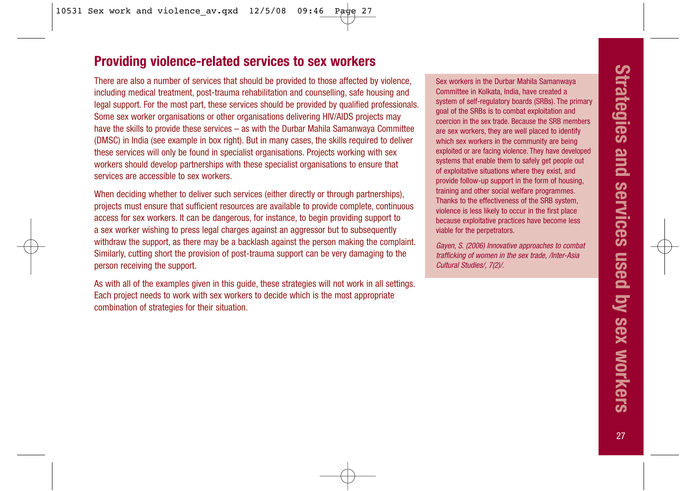## **Providing violence-related services to sex workers**

There are also a number of services that should be provided to those affected by violence, including medical treatment, post-trauma rehabilitation and counselling, safe housing and legal support. For the most part, these services should be provided by qualified professionals. Some sex worker organisations or other organisations delivering HIV/AIDS projects may have the skills to provide these services – as with the Durbar Mahila Samanwaya Committee (DMSC) in India (see example in box right). But in many cases, the skills required to deliver these services will only be found in specialist organisations. Projects working with sex workers should develop partnerships with these specialist organisations to ensure that services are accessible to sex workers.

When deciding whether to deliver such services (either directly or through partnerships), projects must ensure that sufficient resources are available to provide complete, continuous access for sex workers. It can be dangerous, for instance, to begin providing support to a sex worker wishing to press legal charges against an aggressor but to subsequently withdraw the support, as there may be a backlash against the person making the complaint. Similarly, cutting short the provision of post-trauma support can be very damaging to the person receiving the support.

As with all of the examples given in this guide, these strategies will not work in all settings. Each project needs to work with sex workers to decide which is the most appropriate combination of strategies for their situation.

Sex workers in the Durbar Mahila Samanwaya Committee in Kolkata, India, have created a system of self-regulatory boards (SRBs). The primary goal of the SRBs is to combat exploitation and coercion in the sex trade. Because the SRB members are sex workers, they are well placed to identify which sex workers in the community are being exploited or are facing violence. They have developed systems that enable them to safely get people out of exploitative situations where they exist, and provide follow-up support in the form of housing, training and other social welfare programmes. Thanks to the effectiveness of the SRB system, violence is less likely to occur in the first place because exploitative practices have become less viable for the perpetrators.

Gayen, S. (2006) Innovative approaches to combat trafficking of women in the sex trade, /Inter-Asia Cultural Studies/, 7(2)/.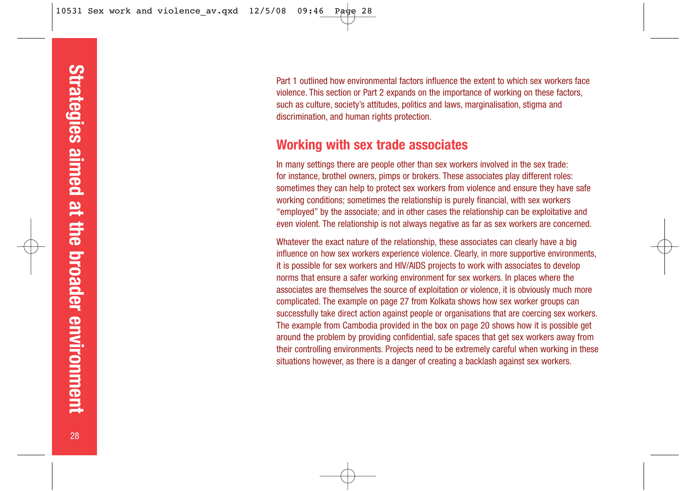Part 1 outlined how environmental factors influence the extent to which sex workers face violence. This section or Part 2 expands on the importance of working on these factors, such as culture, society's attitudes, politics and laws, marginalisation, stigma and discrimination, and human rights protection.

## **Working with sex trade associates**

In many settings there are people other than sex workers involved in the sex trade: for instance, brothel owners, pimps or brokers. These associates play different roles: sometimes they can help to protect sex workers from violence and ensure they have safe working conditions; sometimes the relationship is purely financial, with sex workers "employed" by the associate; and in other cases the relationship can be exploitative and even violent. The relationship is not always negative as far as sex workers are concerned.

Whatever the exact nature of the relationship, these associates can clearly have a big influence on how sex workers experience violence. Clearly, in more supportive environments, it is possible for sex workers and HIV/AIDS projects to work with associates to develop norms that ensure a safer working environment for sex workers. In places where the associates are themselves the source of exploitation or violence, it is obviously much more complicated. The example on page 27 from Kolkata shows how sex worker groups can successfully take direct action against people or organisations that are coercing sex workers. The example from Cambodia provided in the box on page 20 shows how it is possible get around the problem by providing confidential, safe spaces that get sex workers away from their controlling environments. Projects need to be extremely careful when working in these situations however, as there is a danger of creating a backlash against sex workers.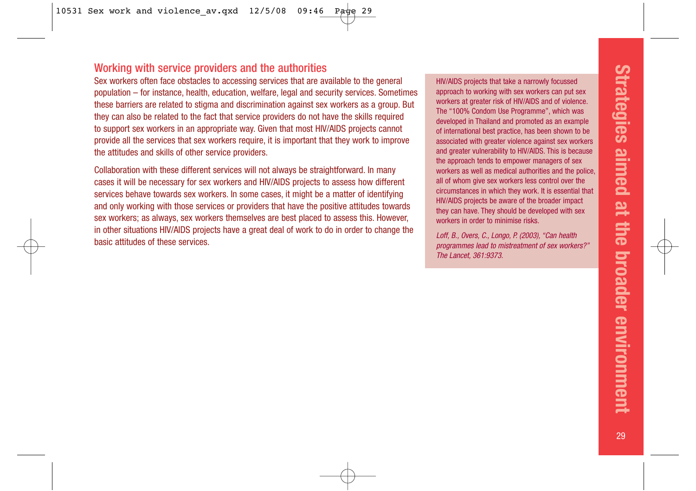#### Working with service providers and the authorities

Sex workers often face obstacles to accessing services that are available to the general population – for instance, health, education, welfare, legal and security services. Sometimes these barriers are related to stigma and discrimination against sex workers as a group. But they can also be related to the fact that service providers do not have the skills required to support sex workers in an appropriate way. Given that most HIV/AIDS projects cannot provide all the services that sex workers require, it is important that they work to improve the attitudes and skills of other service providers.

Collaboration with these different services will not always be straightforward. In many cases it will be necessary for sex workers and HIV/AIDS projects to assess how different services behave towards sex workers. In some cases, it might be a matter of identifying and only working with those services or providers that have the positive attitudes towards sex workers; as always, sex workers themselves are best placed to assess this. However, in other situations HIV/AIDS projects have a great deal of work to do in order to change the basic attitudes of these services.

HIV/AIDS projects that take a narrowly focussed approach to working with sex workers can put sex workers at greater risk of HIV/AIDS and of violence. The "100% Condom Use Programme", which was developed in Thailand and promoted as an example of international best practice, has been shown to be associated with greater violence against sex workers and greater vulnerability to HIV/AIDS. This is because the approach tends to empower managers of sex workers as well as medical authorities and the police, all of whom give sex workers less control over the circumstances in which they work. It is essential that HIV/AIDS projects be aware of the broader impact they can have. They should be developed with sex workers in order to minimise risks.

Loff, B., Overs, C., Longo, P. (2003), "Can health programmes lead to mistreatment of sex workers?" The Lancet, 361:9373.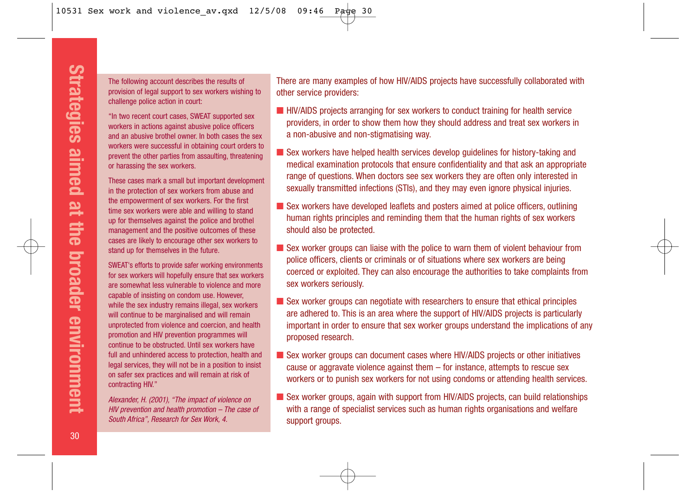The following account describes the results of provision of legal support to sex workers wishing to challenge police action in court:

"In two recent court cases, SWEAT supported sex workers in actions against abusive police officers and an abusive brothel owner. In both cases the sex workers were successful in obtaining court orders to prevent the other parties from assaulting, threatening or harassing the sex workers.

These cases mark a small but important development in the protection of sex workers from abuse and the empowerment of sex workers. For the first time sex workers were able and willing to stand up for themselves against the police and brothel management and the positive outcomes of these cases are likely to encourage other sex workers to stand up for themselves in the future.

SWEAT's efforts to provide safer working environments for sex workers will hopefully ensure that sex workers are somewhat less vulnerable to violence and more capable of insisting on condom use. However, while the sex industry remains illegal, sex workers will continue to be marginalised and will remain unprotected from violence and coercion, and health promotion and HIV prevention programmes will continue to be obstructed. Until sex workers have full and unhindered access to protection, health and legal services, they will not be in a position to insist on safer sex practices and will remain at risk of contracting HIV."

Alexander, H. (2001), "The impact of violence on HIV prevention and health promotion – The case of South Africa", Research for Sex Work, 4.

There are many examples of how HIV/AIDS projects have successfully collaborated with other service providers:

- HIV/AIDS projects arranging for sex workers to conduct training for health service providers, in order to show them how they should address and treat sex workers in a non-abusive and non-stigmatising way.
- Sex workers have helped health services develop guidelines for history-taking and medical examination protocols that ensure confidentiality and that ask an appropriate range of questions. When doctors see sex workers they are often only interested in sexually transmitted infections (STIs), and they may even ignore physical injuries.
- Sex workers have developed leaflets and posters aimed at police officers, outlining human rights principles and reminding them that the human rights of sex workers should also be protected.
- Sex worker groups can liaise with the police to warn them of violent behaviour from police officers, clients or criminals or of situations where sex workers are being coerced or exploited. They can also encourage the authorities to take complaints from sex workers seriously.
- Sex worker groups can negotiate with researchers to ensure that ethical principles are adhered to. This is an area where the support of HIV/AIDS projects is particularly important in order to ensure that sex worker groups understand the implications of any proposed research.
- Sex worker groups can document cases where HIV/AIDS projects or other initiatives cause or aggravate violence against them – for instance, attempts to rescue sex workers or to punish sex workers for not using condoms or attending health services.
- Sex worker groups, again with support from HIV/AIDS projects, can build relationships with a range of specialist services such as human rights organisations and welfare support groups.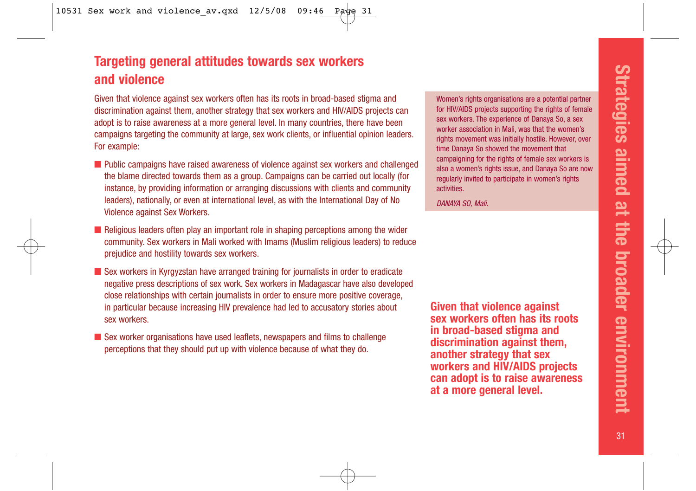## **Targeting general attitudes towards sex workers and violence**

Given that violence against sex workers often has its roots in broad-based stigma and discrimination against them, another strategy that sex workers and HIV/AIDS projects can adopt is to raise awareness at a more general level. In many countries, there have been campaigns targeting the community at large, sex work clients, or influential opinion leaders. For example:

- Public campaigns have raised awareness of violence against sex workers and challenged the blame directed towards them as a group. Campaigns can be carried out locally (for instance, by providing information or arranging discussions with clients and community leaders), nationally, or even at international level, as with the International Day of No Violence against Sex Workers.
- Religious leaders often play an important role in shaping perceptions among the wider community. Sex workers in Mali worked with Imams (Muslim religious leaders) to reduce prejudice and hostility towards sex workers.
- Sex workers in Kyrgyzstan have arranged training for journalists in order to eradicate negative press descriptions of sex work. Sex workers in Madagascar have also developed close relationships with certain journalists in order to ensure more positive coverage, in particular because increasing HIV prevalence had led to accusatory stories about sex workers.
- Sex worker organisations have used leaflets, newspapers and films to challenge perceptions that they should put up with violence because of what they do.

Women's rights organisations are a potential partner for HIV/AIDS projects supporting the rights of female sex workers. The experience of Danaya So, a sex worker association in Mali, was that the women's rights movement was initially hostile. However, over time Danaya So showed the movement that campaigning for the rights of female sex workers is also a women's rights issue, and Danaya So are now regularly invited to participate in women's rights activities.

DANAYA SO, Mali.

**Given that violence against sex workers often has its roots in broad-based stigma and discrimination against them, another strategy that sex workers and HIV/AIDS projects can adopt is to raise awareness at a more general level.**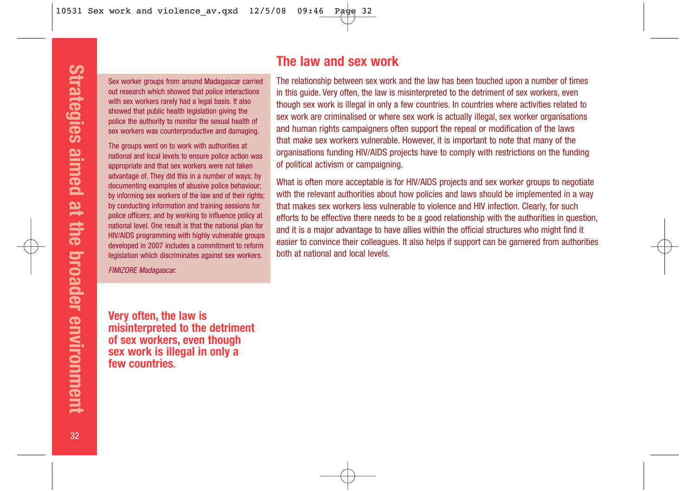Sex worker groups from around Madagascar carried out research which showed that police interactions with sex workers rarely had a legal basis. It also showed that public health legislation giving the police the authority to monitor the sexual health of sex workers was counterproductive and damaging.

The groups went on to work with authorities at national and local levels to ensure police action was appropriate and that sex workers were not taken advantage of. They did this in a number of ways: by documenting examples of abusive police behaviour; by informing sex workers of the law and of their rights; by conducting information and training sessions for police officers; and by working to influence policy at national level. One result is that the national plan for HIV/AIDS programming with highly vulnerable groups developed in 2007 includes a commitment to reform legislation which discriminates against sex workers.

FIMIZORE Madagascar.

## **The law and sex work**

The relationship between sex work and the law has been touched upon a number of times in this guide. Very often, the law is misinterpreted to the detriment of sex workers, even though sex work is illegal in only a few countries. In countries where activities related to sex work are criminalised or where sex work is actually illegal, sex worker organisations and human rights campaigners often support the repeal or modification of the laws that make sex workers vulnerable. However, it is important to note that many of the organisations funding HIV/AIDS projects have to comply with restrictions on the funding of political activism or campaigning.

What is often more acceptable is for HIV/AIDS projects and sex worker groups to negotiate with the relevant authorities about how policies and laws should be implemented in a way that makes sex workers less vulnerable to violence and HIV infection. Clearly, for such efforts to be effective there needs to be a good relationship with the authorities in question, and it is a major advantage to have allies within the official structures who might find it easier to convince their colleagues. It also helps if support can be garnered from authorities both at national and local levels.

**Very often, the law is misinterpreted to the detriment of sex workers, even though sex work is illegal in only a few countries.**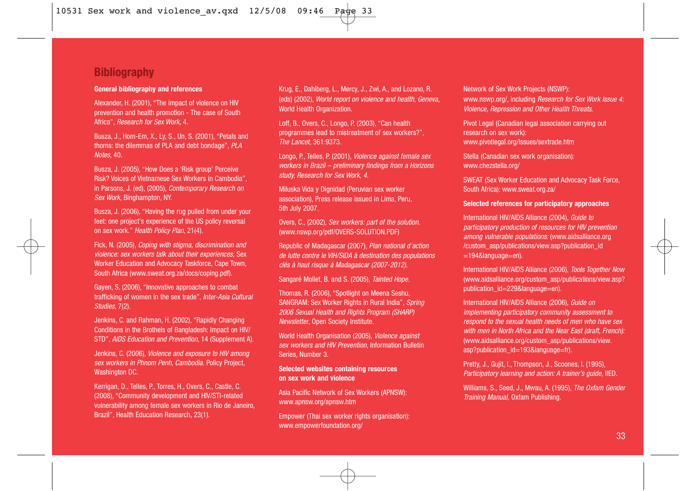### **Bibliography**

#### **General bibliography and references**

Alexander, H. (2001), "The impact of violence on HIV prevention and health promotion - The case of South Africa", Research for Sex Work, 4.

Busza, J., Hom-Em, X., Ly, S., Un, S. (2001), "Petals and thorns: the dilemmas of PLA and debt bondage", PLA Notes, 40.

Busza, J. (2005), "How Does a 'Risk group' Perceive Risk? Voices of Vietnamese Sex Workers in Cambodia", in Parsons, J. (ed), (2005), Contemporary Research on Sex Work, Binghampton, NY.

Busza, J. (2006), "Having the rug pulled from under your feet: one project's experience of the US policy reversal on sex work." Health Policy Plan, 21(4).

Fick, N. (2005), Coping with stigma, discrimination and violence: sex workers talk about their experiences, Sex Worker Education and Advocacy Taskforce, Cape Town, South Africa (www.sweat.org.za/docs/coping.pdf).

Gayen, S. (2006), "Innovative approaches to combat trafficking of women in the sex trade", Inter-Asia Cultural Studies, 7(2).

Jenkins, C. and Rahman, H. (2002), "Rapidly Changing Conditions in the Brothels of Bangladesh: Impact on HIV/ STD", AIDS Education and Prevention, 14 (Supplement A).

Jenkins, C. (2006), Violence and exposure to HIV among sex workers in Phnom Penh, Cambodia. Policy Project. Washington DC.

Kerrigan, D., Telles, P., Torres, H., Overs, C., Castle, C. (2008), "Community development and HIV/STI-related vulnerability among female sex workers in Rio de Janeiro, Brazil", Health Education Research, 23(1).

Krug, E., Dahlberg, L., Mercy, J., Zwi, A., and Lozano, R. (eds) (2002), World report on violence and health, Geneva, World Health Organization.

Loff, B., Overs, C., Longo, P. (2003), "Can health programmes lead to mistreatment of sex workers?", The Lancet, 361:9373.

Longo, P., Telles, P. (2001), Violence against female sex workers in Brazil – preliminary findings from a Horizons study, Research for Sex Work, 4.

Miluska Vida y Dignidad (Peruvian sex worker association), Press release issued in Lima, Peru, 5th July 2007.

Overs, C., (2002), Sex workers: part of the solution. (www.nswp.org/pdf/OVERS-SOLUTION.PDF)

Republic of Madagascar (2007), Plan national d'action de lutte contre le VIH/SIDA à destination des populations clés à haut risque à Madagascar (2007-2012).

Sangaré Mollet, B. and S. (2005), Tainted Hope.

Thomas, R. (2006), "Spotlight on Meena Seshu, SANGRAM: Sex Worker Rights in Rural India", Spring 2006 Sexual Health and Rights Program (SHARP) Newsletter, Open Society Institute.

World Health Organisation (2005), Violence against sex workers and HIV Prevention, Information Bulletin Series, Number 3.

#### **Selected websites containing resources on sex work and violence**

Asia Pacific Network of Sex Workers (APNSW): www.apnsw.org/apnsw.htm

Empower (Thai sex worker rights organisation): www.empowerfoundation.org/

Network of Sex Work Projects (NSWP): www.nswp.org/, including Research for Sex Work Issue 4: Violence, Repression and Other Health Threats.

Pivot Legal (Canadian legal association carrying out research on sex work): www.pivotlegal.org/Issues/sextrade.htm

Stella (Canadian sex work organisation): www.chezstella.org/

SWEAT (Sex Worker Education and Advocacy Task Force, South Africa): www.sweat.org.za/

#### **Selected references for participatory approaches**

International HIV/AIDS Alliance (2004), Guide to participatory production of resources for HIV prevention among vulnerable populations: (www.aidsalliance.org /custom\_asp/publications/view.asp?publication\_id =194&language=en).

International HIV/AIDS Alliance (2006), Tools Together Now (www.aidsalliance.org/custom\_asp/publications/view.asp? publication\_id=229&language=en).

International HIV/AIDS Alliance (2006), Guide on implementing participatory community assessment to respond to the sexual health needs of men who have sex with men in North Africa and the Near East (draft, French): (www.aidsalliance.org/custom\_asp/publications/view. asp?publication\_id=193&language=fr).

Pretty, J., Gujit, I., Thompson, J., Scoones, I. (1995), Participatory learning and action: A trainer's guide, IIED.

Williams, S., Seed, J., Mwau, A. (1995), The Oxfam Gender Training Manual, Oxfam Publishing.